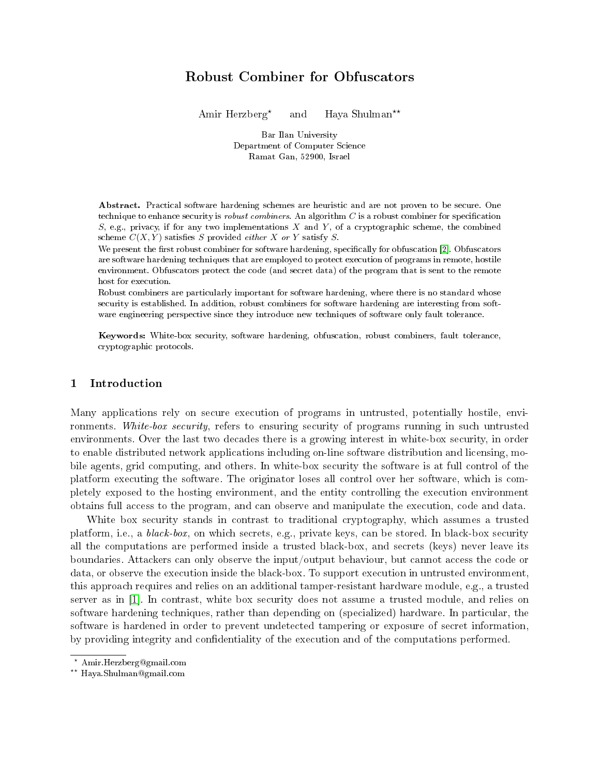# Robust Combiner for Obfuscators

Amir Herzberg<sup>\*</sup> and Haya Shulman<sup>\*\*</sup>

Bar Ilan University Department of Computer Science Ramat Gan, 52900, Israel

Abstract. Practical software hardening schemes are heuristic and are not proven to be secure. One technique to enhance security is *robust combiners*. An algorithm  $C$  is a robust combiner for specification  $S$ , e.g., privacy, if for any two implementations  $X$  and  $Y$ , of a cryptographic scheme, the combined scheme  $C(X, Y)$  satisfies S provided *either* X or Y satisfy S.

We present the first robust combiner for software hardening, specifically for obfuscation [\[2\]](#page-8-0). Obfuscators are software hardening techniques that are employed to protect execution of programs in remote, hostile environment. Obfuscators protect the code (and secret data) of the program that is sent to the remote host for execution.

Robust combiners are particularly important for software hardening, where there is no standard whose security is established. In addition, robust combiners for software hardening are interesting from software engineering perspective since they introduce new techniques of software only fault tolerance.

Keywords: White-box security, software hardening, obfuscation, robust combiners, fault tolerance, cryptographic protocols.

# 1 Introduction

Many applications rely on secure execution of programs in untrusted, potentially hostile, environments. White-box security, refers to ensuring security of programs running in such untrusted environments. Over the last two decades there is a growing interest in white-box security, in order to enable distributed network applications including on-line software distribution and licensing, mobile agents, grid computing, and others. In white-box security the software is at full control of the platform executing the software. The originator loses all control over her software, which is completely exposed to the hosting environment, and the entity controlling the execution environment obtains full access to the program, and can observe and manipulate the execution, code and data.

White box security stands in contrast to traditional cryptography, which assumes a trusted platform, i.e., a black-box, on which secrets, e.g., private keys, can be stored. In black-box security all the computations are performed inside a trusted black-box, and secrets (keys) never leave its boundaries. Attackers can only observe the input/output behaviour, but cannot access the code or data, or observe the execution inside the black-box. To support execution in untrusted environment, this approach requires and relies on an additional tamper-resistant hardware module, e.g., a trusted server as in [\[1\]](#page-8-1). In contrast, white box security does not assume a trusted module, and relies on software hardening techniques, rather than depending on (specialized) hardware. In particular, the software is hardened in order to prevent undetected tampering or exposure of secret information, by providing integrity and condentiality of the execution and of the computations performed.

<sup>?</sup> Amir.Herzberg@gmail.com

<sup>??</sup> Haya.Shulman@gmail.com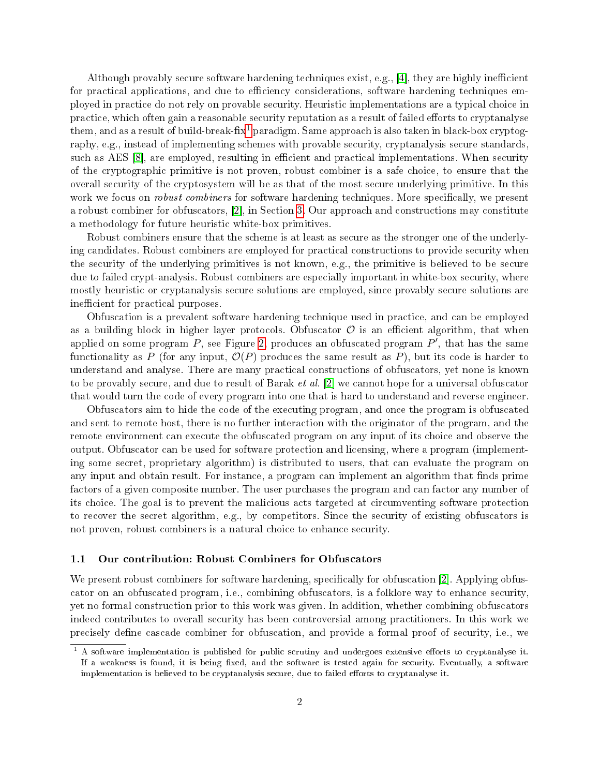Although provably secure software hardening techniques exist, e.g., [\[4\]](#page-8-2), they are highly inefficient for practical applications, and due to efficiency considerations, software hardening techniques employed in practice do not rely on provable security. Heuristic implementations are a typical choice in practice, which often gain a reasonable security reputation as a result of failed efforts to cryptanalyse them, and as a result of build-break-fix<sup>[1](#page-1-0)</sup> paradigm. Same approach is also taken in black-box cryptography, e.g., instead of implementing schemes with provable security, cryptanalysis secure standards, such as AES [\[8\]](#page-9-0), are employed, resulting in efficient and practical implementations. When security of the cryptographic primitive is not proven, robust combiner is a safe choice, to ensure that the overall security of the cryptosystem will be as that of the most secure underlying primitive. In this work we focus on *robust combiners* for software hardening techniques. More specifically, we present a robust combiner for obfuscators, [\[2\]](#page-8-0), in Section [3.](#page-5-0) Our approach and constructions may constitute a methodology for future heuristic white-box primitives.

Robust combiners ensure that the scheme is at least as secure as the stronger one of the underlying candidates. Robust combiners are employed for practical constructions to provide security when the security of the underlying primitives is not known, e.g., the primitive is believed to be secure due to failed crypt-analysis. Robust combiners are especially important in white-box security, where mostly heuristic or cryptanalysis secure solutions are employed, since provably secure solutions are inefficient for practical purposes.

Obfuscation is a prevalent software hardening technique used in practice, and can be employed as a building block in higher layer protocols. Obfuscator  $\mathcal O$  is an efficient algorithm, that when applied on some program  $P$ , see Figure [2,](#page-3-0) produces an obfuscated program  $P'$ , that has the same functionality as P (for any input,  $\mathcal{O}(P)$ ) produces the same result as P), but its code is harder to understand and analyse. There are many practical constructions of obfuscators, yet none is known to be provably secure, and due to result of Barak et al. [\[2\]](#page-8-0) we cannot hope for a universal obfuscator that would turn the code of every program into one that is hard to understand and reverse engineer.

Obfuscators aim to hide the code of the executing program, and once the program is obfuscated and sent to remote host, there is no further interaction with the originator of the program, and the remote environment can execute the obfuscated program on any input of its choice and observe the output. Obfuscator can be used for software protection and licensing, where a program (implementing some secret, proprietary algorithm) is distributed to users, that can evaluate the program on any input and obtain result. For instance, a program can implement an algorithm that finds prime factors of a given composite number. The user purchases the program and can factor any number of its choice. The goal is to prevent the malicious acts targeted at circumventing software protection to recover the secret algorithm, e.g., by competitors. Since the security of existing obfuscators is not proven, robust combiners is a natural choice to enhance security.

### 1.1 Our contribution: Robust Combiners for Obfuscators

We present robust combiners for software hardening, specifically for obfuscation [\[2\]](#page-8-0). Applying obfuscator on an obfuscated program, i.e., combining obfuscators, is a folklore way to enhance security, yet no formal construction prior to this work was given. In addition, whether combining obfuscators indeed contributes to overall security has been controversial among practitioners. In this work we precisely define cascade combiner for obfuscation, and provide a formal proof of security, i.e., we

<span id="page-1-0"></span> $1 \text{ A software implementation is published for public scrutiny and undergoes extensive efforts to cryptanalyse it.}$ If a weakness is found, it is being fixed, and the software is tested again for security. Eventually, a software implementation is believed to be cryptanalysis secure, due to failed efforts to cryptanalyse it.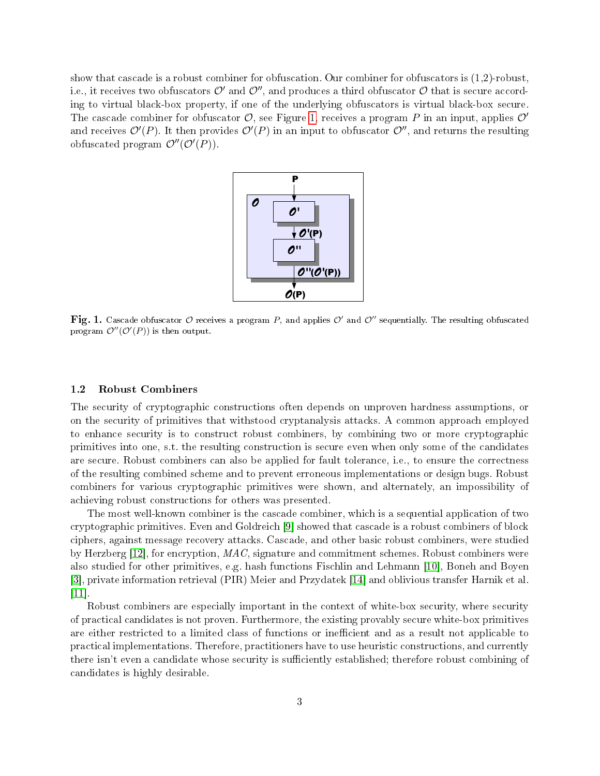show that cascade is a robust combiner for obfuscation. Our combiner for obfuscators is (1,2)-robust, i.e., it receives two obfuscators  $\mathcal{O}'$  and  $\mathcal{O}''$ , and produces a third obfuscator  $\mathcal O$  that is secure according to virtual black-box property, if one of the underlying obfuscators is virtual black-box secure. The cascade combiner for obfuscator  $\mathcal{O}$ , see Figure [1,](#page-2-0) receives a program P in an input, applies  $\mathcal{O}'$ and receives  $\mathcal{O}'(P)$ . It then provides  $\mathcal{O}'(P)$  in an input to obfuscator  $\mathcal{O}''$ , and returns the resulting obfuscated program  $\mathcal{O}''(\mathcal{O}'(P))$ .

<span id="page-2-0"></span>

 ${\bf Fig. 1.}$  Cascade obfuscator  ${\cal O}$  receives a program  $P,$  and applies  ${\cal O}'$  and  ${\cal O}''$  sequentially. The resulting obfuscated program  $\mathcal{O}''(\mathcal{O}'(P))$  is then output.

### 1.2 Robust Combiners

The security of cryptographic constructions often depends on unproven hardness assumptions, or on the security of primitives that withstood cryptanalysis attacks. A common approach employed to enhance security is to construct robust combiners, by combining two or more cryptographic primitives into one, s.t. the resulting construction is secure even when only some of the candidates are secure. Robust combiners can also be applied for fault tolerance, i.e., to ensure the correctness of the resulting combined scheme and to prevent erroneous implementations or design bugs. Robust combiners for various cryptographic primitives were shown, and alternately, an impossibility of achieving robust constructions for others was presented.

The most well-known combiner is the cascade combiner, which is a sequential application of two cryptographic primitives. Even and Goldreich [\[9\]](#page-9-1) showed that cascade is a robust combiners of block ciphers, against message recovery attacks. Cascade, and other basic robust combiners, were studied by Herzberg  $[12]$ , for encryption,  $MAC$ , signature and commitment schemes. Robust combiners were also studied for other primitives, e.g. hash functions Fischlin and Lehmann [\[10\]](#page-9-3), Boneh and Boyen [\[3\]](#page-8-3), private information retrieval (PIR) Meier and Przydatek [\[14\]](#page-9-4) and oblivious transfer Harnik et al. [\[11\]](#page-9-5).

Robust combiners are especially important in the context of white-box security, where security of practical candidates is not proven. Furthermore, the existing provably secure white-box primitives are either restricted to a limited class of functions or inefficient and as a result not applicable to practical implementations. Therefore, practitioners have to use heuristic constructions, and currently there isn't even a candidate whose security is sufficiently established; therefore robust combining of candidates is highly desirable.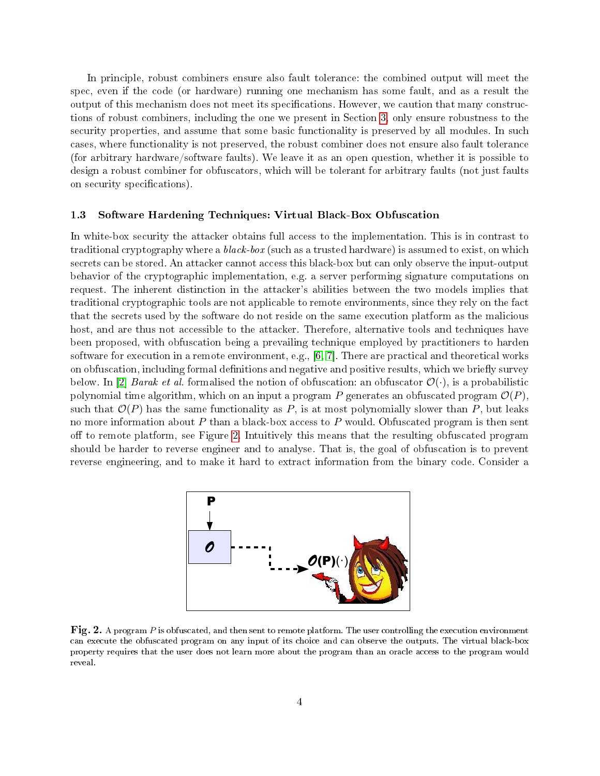In principle, robust combiners ensure also fault tolerance: the combined output will meet the spec, even if the code (or hardware) running one mechanism has some fault, and as a result the output of this mechanism does not meet its specifications. However, we caution that many constructions of robust combiners, including the one we present in Section [3,](#page-5-0) only ensure robustness to the security properties, and assume that some basic functionality is preserved by all modules. In such cases, where functionality is not preserved, the robust combiner does not ensure also fault tolerance (for arbitrary hardware/software faults). We leave it as an open question, whether it is possible to design a robust combiner for obfuscators, which will be tolerant for arbitrary faults (not just faults on security specifications).

### 1.3 Software Hardening Techniques: Virtual Black-Box Obfuscation

In white-box security the attacker obtains full access to the implementation. This is in contrast to traditional cryptography where a *black-box* (such as a trusted hardware) is assumed to exist, on which secrets can be stored. An attacker cannot access this black-box but can only observe the input-output behavior of the cryptographic implementation, e.g. a server performing signature computations on request. The inherent distinction in the attacker's abilities between the two models implies that traditional cryptographic tools are not applicable to remote environments, since they rely on the fact that the secrets used by the software do not reside on the same execution platform as the malicious host, and are thus not accessible to the attacker. Therefore, alternative tools and techniques have been proposed, with obfuscation being a prevailing technique employed by practitioners to harden software for execution in a remote environment, e.g., [\[6,](#page-9-6) [7\]](#page-9-7). There are practical and theoretical works on obfuscation, including formal definitions and negative and positive results, which we briefly survey below. In [\[2\]](#page-8-0) Barak et al. formalised the notion of obfuscation: an obfuscator  $\mathcal{O}(\cdot)$ , is a probabilistic polynomial time algorithm, which on an input a program P generates an obfuscated program  $\mathcal{O}(P)$ , such that  $\mathcal{O}(P)$  has the same functionality as P, is at most polynomially slower than P, but leaks no more information about  $P$  than a black-box access to  $P$  would. Obfuscated program is then sent off to remote platform, see Figure [2.](#page-3-0) Intuitively this means that the resulting obfuscated program should be harder to reverse engineer and to analyse. That is, the goal of obfuscation is to prevent reverse engineering, and to make it hard to extract information from the binary code. Consider a

<span id="page-3-0"></span>

Fig. 2. A program  $P$  is obfuscated, and then sent to remote platform. The user controlling the execution environment can execute the obfuscated program on any input of its choice and can observe the outputs. The virtual black-box property requires that the user does not learn more about the program than an oracle access to the program would reveal.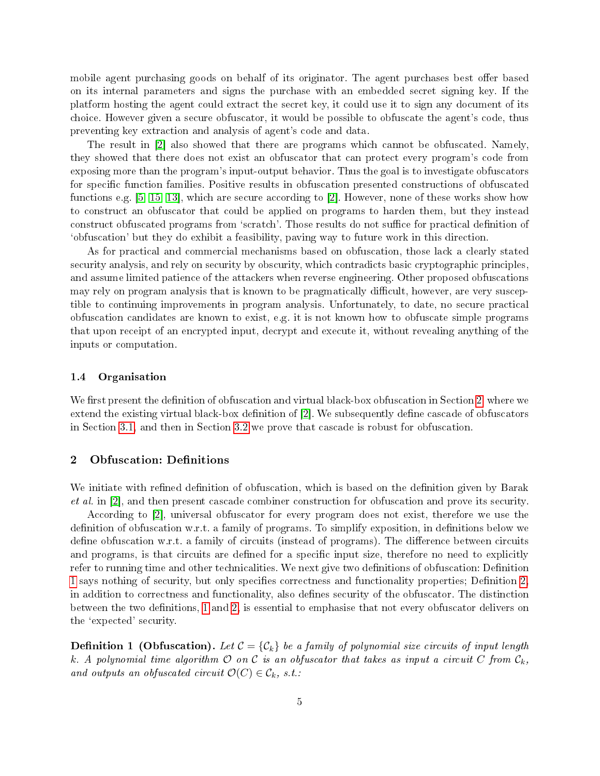mobile agent purchasing goods on behalf of its originator. The agent purchases best offer based on its internal parameters and signs the purchase with an embedded secret signing key. If the platform hosting the agent could extract the secret key, it could use it to sign any document of its choice. However given a secure obfuscator, it would be possible to obfuscate the agent's code, thus preventing key extraction and analysis of agent's code and data.

The result in [\[2\]](#page-8-0) also showed that there are programs which cannot be obfuscated. Namely, they showed that there does not exist an obfuscator that can protect every program's code from exposing more than the program's input-output behavior. Thus the goal is to investigate obfuscators for specific function families. Positive results in obfuscation presented constructions of obfuscated functions e.g. [\[5,](#page-9-8) [15,](#page-9-9) [13\]](#page-9-10), which are secure according to [\[2\]](#page-8-0). However, none of these works show how to construct an obfuscator that could be applied on programs to harden them, but they instead construct obfuscated programs from 'scratch'. Those results do not suffice for practical definition of `obfuscation' but they do exhibit a feasibility, paving way to future work in this direction.

As for practical and commercial mechanisms based on obfuscation, those lack a clearly stated security analysis, and rely on security by obscurity, which contradicts basic cryptographic principles, and assume limited patience of the attackers when reverse engineering. Other proposed obfuscations may rely on program analysis that is known to be pragmatically difficult, however, are very susceptible to continuing improvements in program analysis. Unfortunately, to date, no secure practical obfuscation candidates are known to exist, e.g. it is not known how to obfuscate simple programs that upon receipt of an encrypted input, decrypt and execute it, without revealing anything of the inputs or computation.

### 1.4 Organisation

We first present the definition of obfuscation and virtual black-box obfuscation in Section [2,](#page-4-0) where we extend the existing virtual black-box definition of  $[2]$ . We subsequently define cascade of obfuscators in Section [3.1,](#page-6-0) and then in Section [3.2](#page-6-1) we prove that cascade is robust for obfuscation.

# <span id="page-4-0"></span>2 Obfuscation: Definitions

We initiate with refined definition of obfuscation, which is based on the definition given by Barak et al. in [\[2\]](#page-8-0), and then present cascade combiner construction for obfuscation and prove its security.

According to [\[2\]](#page-8-0), universal obfuscator for every program does not exist, therefore we use the definition of obfuscation w.r.t. a family of programs. To simplify exposition, in definitions below we define obfuscation w.r.t. a family of circuits (instead of programs). The difference between circuits and programs, is that circuits are defined for a specific input size, therefore no need to explicitly refer to running time and other technicalities. We next give two definitions of obfuscation: Definition [1](#page-4-1) says nothing of security, but only specifies correctness and functionality properties; Definition 2. in addition to correctness and functionality, also defines security of the obfuscator. The distinction between the two definitions, [1](#page-4-1) and [2,](#page-5-1) is essential to emphasise that not every obfuscator delivers on the `expected' security.

<span id="page-4-1"></span>**Definition 1** (Obfuscation). Let  $C = \{C_k\}$  be a family of polynomial size circuits of input length k. A polynomial time algorithm  $\mathcal O$  on  $\mathcal C$  is an obfuscator that takes as input a circuit  $C$  from  $\mathcal C_k$ , and outputs an obfuscated circuit  $\mathcal{O}(C) \in \mathcal{C}_k$ , s.t.: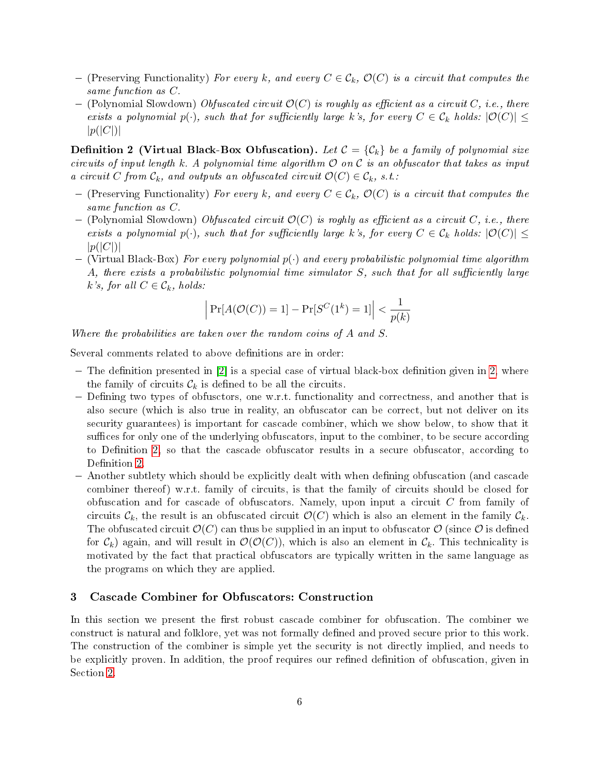- (Preserving Functionality) For every k, and every  $C \in \mathcal{C}_k$ ,  $\mathcal{O}(C)$  is a circuit that computes the same function as C.
- $-$  (Polynomial Slowdown) Obfuscated circuit  $\mathcal{O}(C)$  is roughly as efficient as a circuit C, i.e., there exists a polynomial  $p(\cdot)$ , such that for sufficiently large k's, for every  $C \in \mathcal{C}_k$  holds:  $|\mathcal{O}(C)| \leq$  $|p(|C|)|$

<span id="page-5-1"></span>**Definition 2 (Virtual Black-Box Obfuscation).** Let  $C = \{C_k\}$  be a family of polynomial size circuits of input length k. A polynomial time algorithm  $\mathcal O$  on  $\mathcal C$  is an obfuscator that takes as input a circuit C from  $\mathcal{C}_k$ , and outputs an obfuscated circuit  $\mathcal{O}(C) \in \mathcal{C}_k$ , s.t.:

- (Preserving Functionality) For every k, and every  $C \in \mathcal{C}_k$ ,  $\mathcal{O}(C)$  is a circuit that computes the same function as C.
- (Polynomial Slowdown) Obfuscated circuit  $\mathcal{O}(C)$  is roghly as efficient as a circuit C, i.e., there exists a polynomial  $p(\cdot)$ , such that for sufficiently large k's, for every  $C \in \mathcal{C}_k$  holds:  $|\mathcal{O}(C)| \leq$  $|p(|C|)|$
- $-$  (Virtual Black-Box) For every polynomial  $p(\cdot)$  and every probabilistic polynomial time algorithm A, there exists a probabilistic polynomial time simulator  $S$ , such that for all sufficiently large k's, for all  $C \in \mathcal{C}_k$ , holds:

$$
\left| \Pr[A(\mathcal{O}(C)) = 1] - \Pr[S^C(1^k) = 1] \right| < \frac{1}{p(k)}
$$

Where the probabilities are taken over the random coins of A and S.

Several comments related to above definitions are in order:

- $-$  The definition presented in  $[2]$  is a special case of virtual black-box definition given in [2,](#page-5-1) where the family of circuits  $\mathcal{C}_k$  is defined to be all the circuits.
- Defining two types of obfusctors, one w.r.t. functionality and correctness, and another that is also secure (which is also true in reality, an obfuscator can be correct, but not deliver on its security guarantees) is important for cascade combiner, which we show below, to show that it suffices for only one of the underlying obfuscators, input to the combiner, to be secure according to Definition [2,](#page-5-1) so that the cascade obfuscator results in a secure obfuscator, according to Definition [2.](#page-5-1)
- Another subtlety which should be explicitly dealt with when dening obfuscation (and cascade combiner thereof) w.r.t. family of circuits, is that the family of circuits should be closed for obfuscation and for cascade of obfuscators. Namely, upon input a circuit C from family of circuits  $\mathcal{C}_k$ , the result is an obfuscated circuit  $\mathcal{O}(C)$  which is also an element in the family  $\mathcal{C}_k$ . The obfuscated circuit  $\mathcal{O}(C)$  can thus be supplied in an input to obfuscator  $\mathcal{O}$  (since  $\mathcal{O}$  is defined for  $\mathcal{C}_k$ ) again, and will result in  $\mathcal{O}(\mathcal{O}(C))$ , which is also an element in  $\mathcal{C}_k$ . This technicality is motivated by the fact that practical obfuscators are typically written in the same language as the programs on which they are applied.

# <span id="page-5-0"></span>3 Cascade Combiner for Obfuscators: Construction

In this section we present the first robust cascade combiner for obfuscation. The combiner we construct is natural and folklore, yet was not formally defined and proved secure prior to this work. The construction of the combiner is simple yet the security is not directly implied, and needs to be explicitly proven. In addition, the proof requires our refined definition of obfuscation, given in Section [2.](#page-4-0)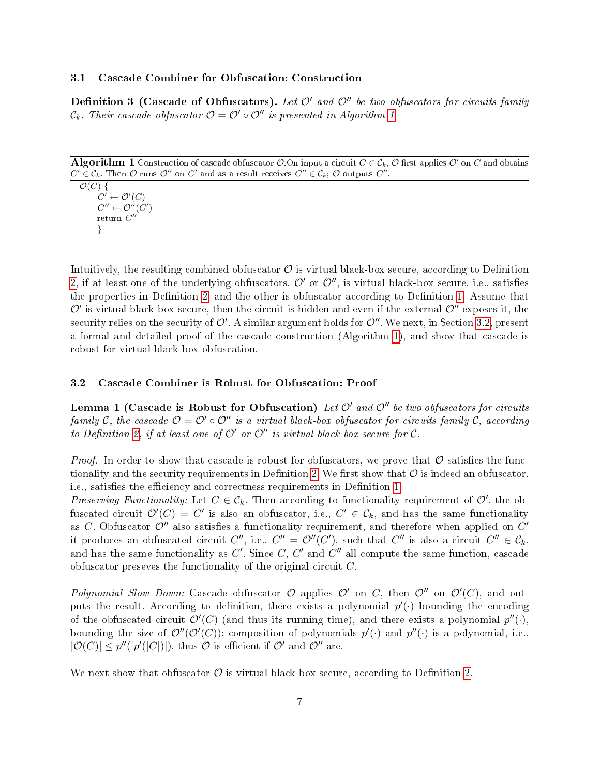### <span id="page-6-0"></span>3.1 Cascade Combiner for Obfuscation: Construction

**Definition 3** (Cascade of Obfuscators). Let  $\mathcal{O}'$  and  $\mathcal{O}''$  be two obfuscators for circuits family  $\mathcal{C}_k$ . Their cascade obfuscator  $\mathcal{O} = \mathcal{O}' \circ \mathcal{O}''$  is presented in Algorithm [1.](#page-6-2)

Algorithm 1 Construction of cascade obfuscator  $O$ . On input a circuit  $C \in \mathcal{C}_k$ ,  $\mathcal O$  first applies  $\mathcal O'$  on  $C$  and obtains  $C' \in \mathcal{C}_k$ . Then  $\mathcal O$  runs  $\mathcal O''$  on  $C'$  and as a result receives  $C'' \in \mathcal{C}_k$ ;  $\mathcal O$  outputs  $C''$ .

<span id="page-6-2"></span> $\mathcal{O}(C)$  {  $C' \leftarrow \mathcal{O}'(C)$  $C'' \leftarrow \mathcal{O}''(C')$  $\operatorname{return} C''$ }

Intuitively, the resulting combined obfuscator  $\mathcal O$  is virtual black-box secure, according to Definition [2,](#page-5-1) if at least one of the underlying obfuscators,  $\mathcal{O}'$  or  $\mathcal{O}''$ , is virtual black-box secure, i.e., satisfies the properties in Definition [2,](#page-5-1) and the other is obfuscator according to Definition [1.](#page-4-1) Assume that  $\mathcal O'$  is virtual black-box secure, then the circuit is hidden and even if the external  $\mathcal O''$  exposes it, the security relies on the security of  $\mathcal{O}'$ . A similar argument holds for  $\mathcal{O}''$ . We next, in Section [3.2,](#page-6-1) present a formal and detailed proof of the cascade construction (Algorithm [1\)](#page-6-2), and show that cascade is robust for virtual black-box obfuscation.

### <span id="page-6-1"></span>3.2 Cascade Combiner is Robust for Obfuscation: Proof

Lemma 1 (Cascade is Robust for Obfuscation) Let  $\mathcal{O}'$  and  $\mathcal{O}''$  be two obfuscators for circuits family C, the cascade  $\mathcal{O} = \mathcal{O}' \circ \mathcal{O}''$  is a virtual black-box obfuscator for circuits family C, according to Definition [2,](#page-5-1) if at least one of  $\mathcal{O}'$  or  $\mathcal{O}''$  is virtual black-box secure for  $\mathcal{C}$ .

*Proof.* In order to show that cascade is robust for obfuscators, we prove that  $\mathcal O$  satisfies the func-tionality and the security requirements in Definition [2.](#page-5-1) We first show that  $\mathcal O$  is indeed an obfuscator, i.e., satisfies the efficiency and correctness requirements in Definition [1.](#page-4-1)

Preserving Functionality: Let  $C \in \mathcal{C}_k$ . Then according to functionality requirement of  $\mathcal{O}'$ , the obfuscated circuit  $\mathcal{O}'(C) = C'$  is also an obfuscator, i.e.,  $C' \in \mathcal{C}_k$ , and has the same functionality as C. Obfuscator  $\mathcal{O}''$  also satisfies a functionality requirement, and therefore when applied on  $C'$ it produces an obfuscated circuit  $C'',$  i.e.,  $C'' = \mathcal{O}''(C'),$  such that  $C''$  is also a circuit  $C'' \in \mathcal{C}_k$ , and has the same functionality as  $C'$ . Since  $C, C'$  and  $C''$  all compute the same function, cascade obfuscator preseves the functionality of the original circuit C.

Polynomial Slow Down: Cascade obfuscator  $\mathcal O$  applies  $\mathcal O'$  on  $C$ , then  $\mathcal O''$  on  $\mathcal O'(C)$ , and outputs the result. According to definition, there exists a polynomial  $p'(\cdot)$  bounding the encoding of the obfuscated circuit  $\mathcal{O}'(C)$  (and thus its running time), and there exists a polynomial  $p''(.)$ bounding the size of  $\mathcal{O}''(\mathcal{O}'(C))$ ; composition of polynomials  $p'(\cdot)$  and  $p''(\cdot)$  is a polynomial, i.e.,  $|\mathcal{O}(C)| \leq p''(|p'(|C|)|)$ , thus  $\mathcal O$  is efficient if  $\mathcal O'$  and  $\mathcal O''$  are.

We next show that obfuscator  $\mathcal O$  is virtual black-box secure, according to Definition [2.](#page-5-1)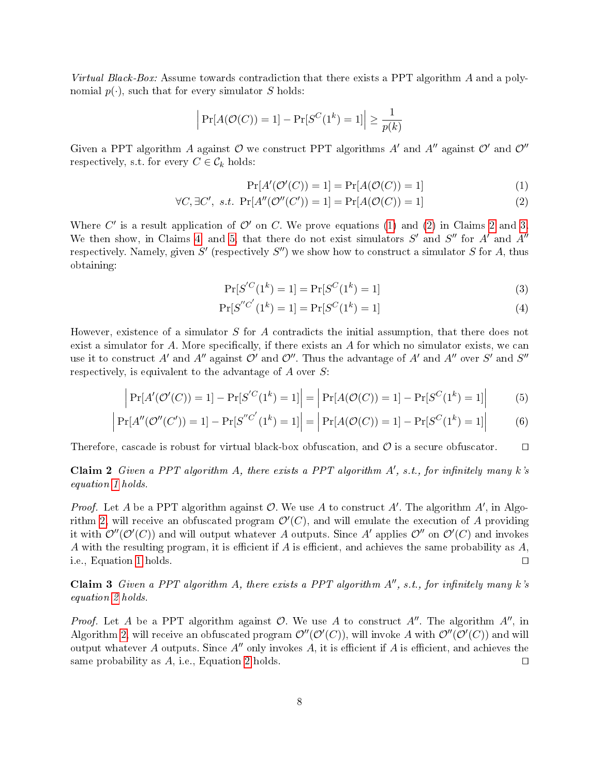Virtual Black-Box: Assume towards contradiction that there exists a PPT algorithm A and a polynomial  $p(\cdot)$ , such that for every simulator S holds:

$$
\left| \Pr[A(\mathcal{O}(C)) = 1] - \Pr[S^C(1^k) = 1] \right| \ge \frac{1}{p(k)}
$$

Given a PPT algorithm A against  $\mathcal O$  we construct PPT algorithms A' and A'' against  $\mathcal O'$  and  $\mathcal O''$ respectively, s.t. for every  $C \in \mathcal{C}_k$  holds:

<span id="page-7-0"></span>
$$
Pr[A'(\mathcal{O}'(C)) = 1] = Pr[A(\mathcal{O}(C)) = 1]
$$
\n(1)

$$
\forall C, \exists C', \ s.t. \ \Pr[A''(\mathcal{O}''(C')) = 1] = \Pr[A(\mathcal{O}(C)) = 1]
$$
\n(2)

Where C' is a result application of  $\mathcal{O}'$  on C. We prove equations [\(1\)](#page-7-0) and [\(2\)](#page-7-0) in Claims [2](#page-7-1) and [3.](#page-7-2) We then show, in Claims [4,](#page-7-3) and [5,](#page-8-4) that there do not exist simulators  $S'$  and  $S''$  for  $A'$  and  $A''$ respectively. Namely, given  $S'$  (respectively  $S'$ ) we show how to construct a simulator  $S$  for  $A$ , thus obtaining:

$$
\Pr[S^{'}C(1^k) = 1] = \Pr[S^C(1^k) = 1]
$$
\n(3)

<span id="page-7-4"></span>
$$
\Pr[S''^{C'}(1^k) = 1] = \Pr[S^{C'}(1^k) = 1]
$$
\n(4)

However, existence of a simulator S for A contradicts the initial assumption, that there does not exist a simulator for  $A$ . More specifically, if there exists an  $A$  for which no simulator exists, we can use it to construct  $A'$  and  $A''$  against  $\mathcal{O}'$  and  $\mathcal{O}''$ . Thus the advantage of  $A'$  and  $A''$  over  $S'$  and  $S''$ respectively, is equivalent to the advantage of  $A$  over  $S$ :

$$
\left| \Pr[A'(\mathcal{O}'(C)) = 1] - \Pr[S'^C(1^k) = 1] \right| = \left| \Pr[A(\mathcal{O}(C)) = 1] - \Pr[S^C(1^k) = 1] \right| \tag{5}
$$

$$
\left| \Pr[A''(\mathcal{O}''(C')) = 1] - \Pr[S''^{C'}(1^k) = 1] \right| = \left| \Pr[A(\mathcal{O}(C)) = 1] - \Pr[S^{C}(1^k) = 1] \right| \tag{6}
$$

Therefore, cascade is robust for virtual black-box obfuscation, and  $\mathcal O$  is a secure obfuscator.  $\square$ 

<span id="page-7-1"></span>Claim 2 Given a PPT algorithm A, there exists a PPT algorithm  $A'$ , s.t., for infinitely many k's equation [1](#page-7-0) holds.

*Proof.* Let A be a PPT algorithm against  $O$ . We use A to construct A'. The algorithm  $A'$ , in Algo-rithm [2,](#page-8-5) will receive an obfuscated program  $\mathcal{O}'(C)$ , and will emulate the execution of A providing it with  $\mathcal{O}''(\mathcal{O}'(C))$  and will output whatever  $A$  outputs. Since  $A'$  applies  $\mathcal{O}''$  on  $\mathcal{O}'(C)$  and invokes A with the resulting program, it is efficient if A is efficient, and achieves the same probability as  $A$ , i.e., Equation [1](#page-7-0) holds.  $\square$ 

<span id="page-7-2"></span>Claim 3 Given a PPT algorithm A, there exists a PPT algorithm  $A''$ , s.t., for infinitely many k's equation [2](#page-7-0) holds.

<span id="page-7-3"></span>*Proof.* Let A be a PPT algorithm against  $\mathcal O$ . We use A to construct  $A''$ . The algorithm  $A''$ , in Algorithm [2,](#page-8-5) will receive an obfuscated program  $\mathcal{O}''(\mathcal{O}'(C))$ , will invoke A with  $\mathcal{O}''(\mathcal{O}'(C))$  and will output whatever A outputs. Since  $A''$  only invokes A, it is efficient if A is efficient, and achieves the same probability as  $A$ , i.e., Equation [2](#page-7-0) holds.  $\square$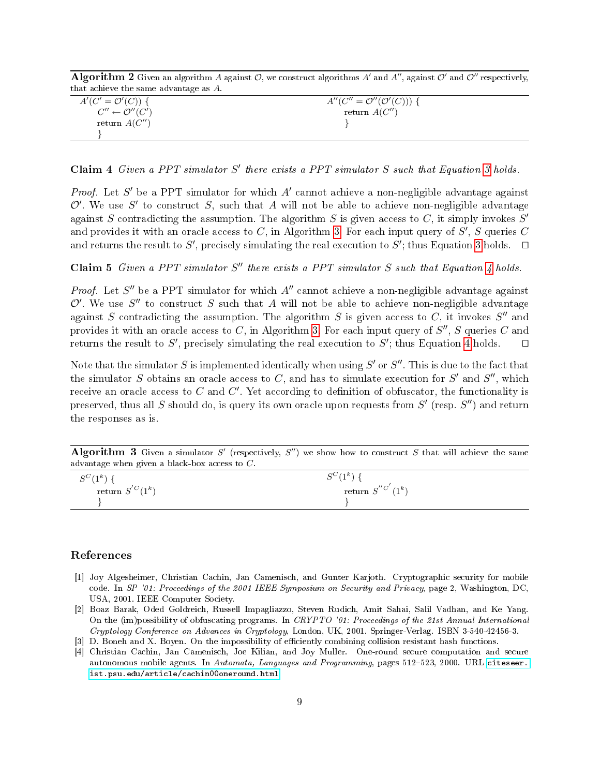Algorithm  $2$  Given an algorithm  $A$  against  $\mathcal{O},$  we construct algorithms  $A'$  and  $A''$ , against  $\mathcal{O}'$  and  $\mathcal{O}''$  respectively, that achieve the same advantage as A.

<span id="page-8-5"></span>

| $A'(C' = \mathcal{O}'(C))$ {       | $A''(C'' = \mathcal{O}''(\mathcal{O}'(C)))$ { |
|------------------------------------|-----------------------------------------------|
| $C'' \leftarrow \mathcal{O}''(C')$ | return $A(C'')$                               |
| return $A(C'')$                    |                                               |
|                                    |                                               |

Claim 4 Given a PPT simulator  $S'$  there exists a PPT simulator  $S$  such that Equation [3](#page-7-4) holds.

Proof. Let  $S'$  be a PPT simulator for which  $A'$  cannot achieve a non-negligible advantage against  $\mathcal{O}'$ . We use S' to construct S, such that A will not be able to achieve non-negligible advantage against S contradicting the assumption. The algorithm S is given access to C, it simply invokes  $S'$ and provides it with an oracle access to C, in Algorithm [3.](#page-8-6) For each input query of  $S', S$  queries  $C$ and returns the result to  $S'$ , precisely simulating the real execution to  $S'$ ; thus Equation [3](#page-7-4) holds.  $\Box$ 

<span id="page-8-4"></span>Claim 5 Given a PPT simulator  $S''$  there exists a PPT simulator  $S$  such that Equation [4](#page-7-4) holds.

*Proof.* Let  $S''$  be a PPT simulator for which  $A''$  cannot achieve a non-negligible advantage against  $\mathcal{O}'$ . We use  $S''$  to construct S such that A will not be able to achieve non-negligible advantage against S contradicting the assumption. The algorithm S is given access to C, it invokes  $S''$  and provides it with an oracle access to  $C$ , in Algorithm [3.](#page-8-6) For each input query of  $S''$ ,  $S$  queries  $C$  and returns the result to S', precisely simulating the real execution to S'; thus Equation [4](#page-7-4) holds.  $\square$ 

Note that the simulator  $S$  is implemented identically when using  $S'$  or  $S''$ . This is due to the fact that the simulator S obtains an oracle access to C, and has to simulate execution for S' and S'', which receive an oracle access to  $C$  and  $C'$ . Yet according to definition of obfuscator, the functionality is preserved, thus all S should do, is query its own oracle upon requests from  $S'$  (resp.  $S'$ ) and return the responses as is.

Algorithm 3 Given a simulator  $S'$  (respectively,  $S'$ ) we show how to construct  $S$  that will achieve the same advantage when given a black-box access to C.

<span id="page-8-6"></span>

| $S^C(1^k)$                   | $C^{C}$ (1 <sup>k</sup> )<br>l T<br>N |
|------------------------------|---------------------------------------|
| return $S^{^{\prime}C}(1^k)$ | return $S''^{C'}(1^k)$                |
|                              |                                       |

## References

- <span id="page-8-1"></span>[1] Joy Algesheimer, Christian Cachin, Jan Camenisch, and Gunter Karjoth. Cryptographic security for mobile code. In SP '01: Proceedings of the 2001 IEEE Symposium on Security and Privacy, page 2, Washington, DC, USA, 2001. IEEE Computer Society.
- <span id="page-8-0"></span>[2] Boaz Barak, Oded Goldreich, Russell Impagliazzo, Steven Rudich, Amit Sahai, Salil Vadhan, and Ke Yang. On the (im)possibility of obfuscating programs. In CRYPTO '01: Proceedings of the 21st Annual International Cryptology Conference on Advances in Cryptology, London, UK, 2001. Springer-Verlag. ISBN 3-540-42456-3.
- <span id="page-8-3"></span>[3] D. Boneh and X. Boyen. On the impossibility of efficiently combining collision resistant hash functions.
- <span id="page-8-2"></span>[4] Christian Cachin, Jan Camenisch, Joe Kilian, and Joy Muller. One-round secure computation and secure autonomous mobile agents. In Automata, Languages and Programming, pages 512-523, 2000. URL [citeseer.](citeseer.ist.psu.edu/article/cachin00oneround.html) [ist.psu.edu/article/cachin00oneround.html.](citeseer.ist.psu.edu/article/cachin00oneround.html)